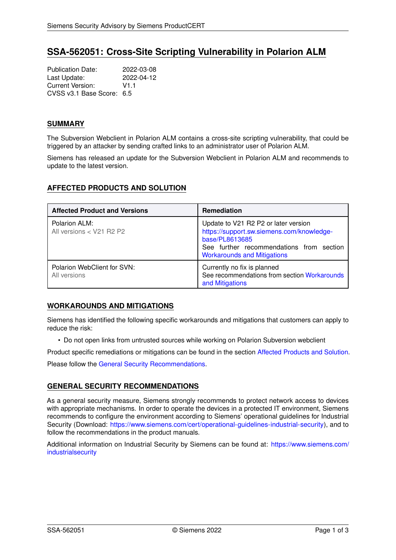# **SSA-562051: Cross-Site Scripting Vulnerability in Polarion ALM**

Publication Date: 2022-03-08<br>
Last Update: 2022-04-12 Last Update: Current Version: V1.1 CVSS v3.1 Base Score: 6.5

### **SUMMARY**

The Subversion Webclient in Polarion ALM contains a cross-site scripting vulnerability, that could be triggered by an attacker by sending crafted links to an administrator user of Polarion ALM.

Siemens has released an update for the Subversion Webclient in Polarion ALM and recommends to update to the latest version.

### <span id="page-0-1"></span>**AFFECTED PRODUCTS AND SOLUTION**

| <b>Affected Product and Versions</b>        | <b>Remediation</b>                                                                                                                                                                    |
|---------------------------------------------|---------------------------------------------------------------------------------------------------------------------------------------------------------------------------------------|
| Polarion ALM:<br>All versions < V21 R2 P2   | Update to V21 R2 P2 or later version<br>https://support.sw.siemens.com/knowledge-<br>base/PL8613685<br>See further recommendations from section<br><b>Workarounds and Mitigations</b> |
| Polarion WebClient for SVN:<br>All versions | Currently no fix is planned<br>See recommendations from section Workarounds<br>and Mitigations                                                                                        |

## <span id="page-0-0"></span>**WORKAROUNDS AND MITIGATIONS**

Siemens has identified the following specific workarounds and mitigations that customers can apply to reduce the risk:

• Do not open links from untrusted sources while working on Polarion Subversion webclient

Product specific remediations or mitigations can be found in the section [Affected Products and Solution.](#page-0-1) Please follow the [General Security Recommendations.](#page-0-2)

## <span id="page-0-2"></span>**GENERAL SECURITY RECOMMENDATIONS**

As a general security measure, Siemens strongly recommends to protect network access to devices with appropriate mechanisms. In order to operate the devices in a protected IT environment, Siemens recommends to configure the environment according to Siemens' operational guidelines for Industrial Security (Download: [https://www.siemens.com/cert/operational-guidelines-industrial-security\)](https://www.siemens.com/cert/operational-guidelines-industrial-security), and to follow the recommendations in the product manuals.

Additional information on Industrial Security by Siemens can be found at: [https://www.siemens.com/](https://www.siemens.com/industrialsecurity) [industrialsecurity](https://www.siemens.com/industrialsecurity)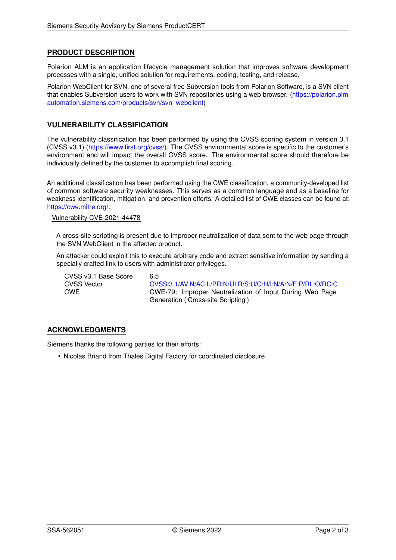## **PRODUCT DESCRIPTION**

Polarion ALM is an application lifecycle management solution that improves software development processes with a single, unified solution for requirements, coding, testing, and release.

Polarion WebClient for SVN, one of several free Subversion tools from Polarion Software, is a SVN client that enables Subversion users to work with SVN repositories using a web browser. [\(https://polarion.plm.](https://polarion.plm.automation.siemens.com/products/svn/svn_webclient) [automation.siemens.com/products/svn/svn\\_webclient\)](https://polarion.plm.automation.siemens.com/products/svn/svn_webclient)

#### **VULNERABILITY CLASSIFICATION**

The vulnerability classification has been performed by using the CVSS scoring system in version 3.1 (CVSS v3.1) [\(https://www.first.org/cvss/\)](https://www.first.org/cvss/). The CVSS environmental score is specific to the customer's environment and will impact the overall CVSS score. The environmental score should therefore be individually defined by the customer to accomplish final scoring.

An additional classification has been performed using the CWE classification, a community-developed list of common software security weaknesses. This serves as a common language and as a baseline for weakness identification, mitigation, and prevention efforts. A detailed list of CWE classes can be found at: [https://cwe.mitre.org/.](https://cwe.mitre.org/)

#### Vulnerability CVE-2021-44478

A cross-site scripting is present due to improper neutralization of data sent to the web page through the SVN WebClient in the affected product.

An attacker could exploit this to execute arbitrary code and extract sensitive information by sending a specially crafted link to users with administrator privileges.

CVSS v3.1 Base Score 6.5

CVSS Vector [CVSS:3.1/AV:N/AC:L/PR:N/UI:R/S:U/C:H/I:N/A:N/E:P/RL:O/RC:C](https://www.first.org/cvss/calculator/3.1#CVSS:3.1/AV:N/AC:L/PR:N/UI:R/S:U/C:H/I:N/A:N/E:P/RL:O/RC:C) CWE CWE-79: Improper Neutralization of Input During Web Page Generation ('Cross-site Scripting')

## **ACKNOWLEDGMENTS**

Siemens thanks the following parties for their efforts:

• Nicolas Briand from Thales Digital Factory for coordinated disclosure